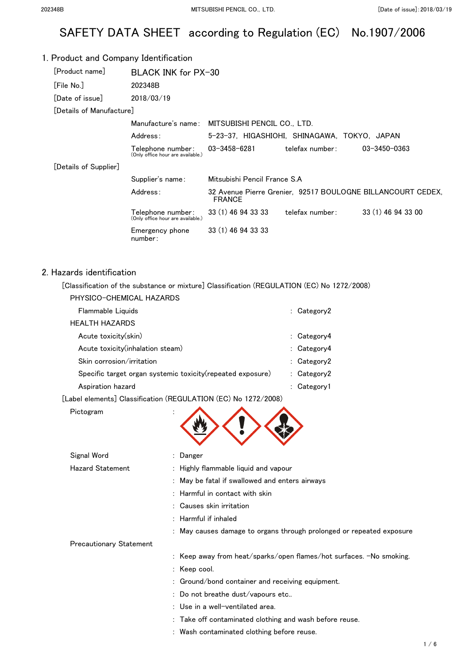# SAFETY DATA SHEET according to Regulation (EC) No.1907/2006

### 1. Product and Company Identification [Product name] BLACK INK for PX-30 [File No.] 202348B [Date of issue] 2018/03/19 [Details of Manufacture] Manufacture's name: MITSUBISHI PENCIL CO., LTD. Address: 5-23-37, HIGASHIOHI, SHINAGAWA, TOKYO, JAPAN Telephone number: (Only office hour are available.) 03-3458-6281 telefax number: 03-3450-0363 [Details of Supplier] Supplier's name: Mitsubishi Pencil France S.A Address: 32 Avenue Pierre Grenier, 92517 BOULOGNE BILLANCOURT CEDEX, FRANCE Telephone number: (Only office hour are available.) 33 (1) 46 94 33 33 telefax number: 33 (1) 46 94 33 00 Emergency phone number: 33 (1) 46 94 33 33

### 2. Hazards identification

[Classification of the substance or mixture] Classification (REGULATION (EC) No 1272/2008)

| PHYSICO-CHEMICAL HAZARDS |  |
|--------------------------|--|
|                          |  |

| Flammable Liquids                                           |    | : Category2     |
|-------------------------------------------------------------|----|-----------------|
| HEALTH HAZARDS                                              |    |                 |
| Acute toxicity(skin)                                        |    | : $Categorical$ |
| Acute toxicity (inhalation steam)                           |    | : $Categorical$ |
| Skin corrosion/irritation                                   |    | : $Categorical$ |
| Specific target organ systemic toxicity (repeated exposure) |    | : $Categorical$ |
| Aspiration hazard                                           | ÷. | Category1       |
|                                                             |    |                 |

[Label elements] Classification (REGULATION (EC) No 1272/2008)

Pictogram

| Signal Word                    | : Danger                                                             |
|--------------------------------|----------------------------------------------------------------------|
| <b>Hazard Statement</b>        | : Highly flammable liquid and vapour                                 |
|                                | May be fatal if swallowed and enters airways                         |
|                                | $:$ Harmful in contact with skin                                     |
|                                | : Causes skin irritation                                             |
|                                | : Harmful if inhaled                                                 |
|                                | : May causes damage to organs through prolonged or repeated exposure |
| <b>Precautionary Statement</b> |                                                                      |
|                                | : Keep away from heat/sparks/open flames/hot surfaces. -No smoking.  |
|                                | $:$ Keep cool.                                                       |
|                                | : Ground/bond container and receiving equipment.                     |
|                                | : Do not breathe dust/vapours etc                                    |
|                                | : Use in a well-ventilated area.                                     |
|                                | : Take off contaminated clothing and wash before reuse.              |
|                                | : Wash contaminated clothing before reuse.                           |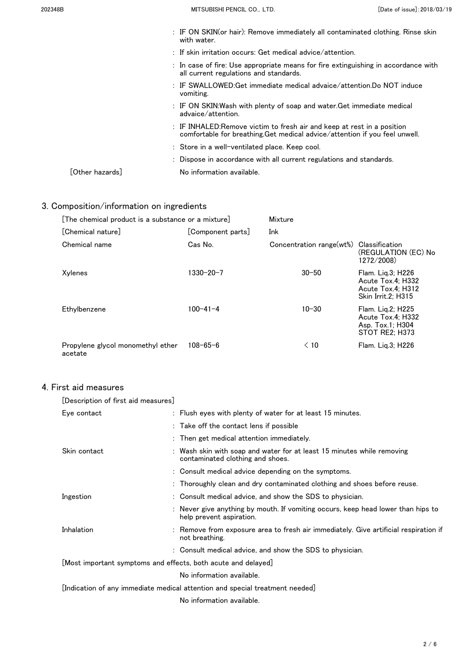| 202348B                         | MITSUBISHI PENCIL CO., LTD.                                                                                                                           | [Date of issue]: 2018/03/19 |
|---------------------------------|-------------------------------------------------------------------------------------------------------------------------------------------------------|-----------------------------|
|                                 | : IF ON SKIN(or hair): Remove immediately all contaminated clothing. Rinse skin<br>with water.                                                        |                             |
|                                 | $\therefore$ If skin irritation occurs: Get medical advice/attention.                                                                                 |                             |
|                                 | : In case of fire: Use appropriate means for fire extinguishing in accordance with<br>all current regulations and standards.                          |                             |
|                                 | : IF SWALLOWED:Get immediate medical advaice/attention.Do NOT induce<br>vomiting.                                                                     |                             |
|                                 | : IF ON SKIN:Wash with plenty of soap and water.Get immediate medical<br>advaice/attention.                                                           |                             |
|                                 | : IF INHALED:Remove victim to fresh air and keep at rest in a position<br>comfortable for breathing. Get medical advice/attention if you feel unwell. |                             |
|                                 | : Store in a well-ventilated place. Keep cool.                                                                                                        |                             |
|                                 | : Dispose in accordance with all current regulations and standards.                                                                                   |                             |
| $\lceil$ Other hazards $\rceil$ | No information available.                                                                                                                             |                             |

# 3. Composition/information on ingredients

| [The chemical product is a substance or a mixture] |                   | Mixture                  |                                                                                   |
|----------------------------------------------------|-------------------|--------------------------|-----------------------------------------------------------------------------------|
| [Chemical nature]                                  | [Component parts] | Ink                      |                                                                                   |
| Chemical name                                      | Cas No.           | Concentration range(wt%) | Classification<br>(REGULATION (EC) No<br>1272/2008)                               |
| Xylenes                                            | 1330-20-7         | $30 - 50$                | Flam. Lig.3; H226<br>Acute Tox.4: H332<br>Acute Tox.4: H312<br>Skin Irrit.2: H315 |
| Ethylbenzene                                       | $100 - 41 - 4$    | $10 - 30$                | Flam. Lig.2; H225<br>Acute Tox.4; H332<br>Asp. Tox.1; H304<br>STOT RE2; H373      |
| Propylene glycol monomethyl ether<br>acetate       | $108 - 65 - 6$    | $\leq 10$                | Flam. Liq.3; H226                                                                 |

## 4. First aid measures

| [Description of first aid measures]                           |                                                                                                              |
|---------------------------------------------------------------|--------------------------------------------------------------------------------------------------------------|
| Eye contact                                                   | : Flush eyes with plenty of water for at least 15 minutes.                                                   |
|                                                               | : Take off the contact lens if possible                                                                      |
|                                                               | : Then get medical attention immediately.                                                                    |
| Skin contact                                                  | Wash skin with soap and water for at least 15 minutes while removing<br>contaminated clothing and shoes.     |
|                                                               | : Consult medical advice depending on the symptoms.                                                          |
|                                                               | : Thoroughly clean and dry contaminated clothing and shoes before reuse.                                     |
| Ingestion                                                     | : Consult medical advice, and show the SDS to physician.                                                     |
|                                                               | : Never give anything by mouth. If vomiting occurs, keep head lower than hips to<br>help prevent aspiration. |
| Inhalation                                                    | Remove from exposure area to fresh air immediately. Give artificial respiration if<br>not breathing.         |
|                                                               | : Consult medical advice, and show the SDS to physician.                                                     |
| [Most important symptoms and effects, both acute and delayed] |                                                                                                              |
|                                                               | No information available.                                                                                    |
|                                                               | [Indication of any immediate medical attention and special treatment needed]                                 |
|                                                               | No information available.                                                                                    |
|                                                               |                                                                                                              |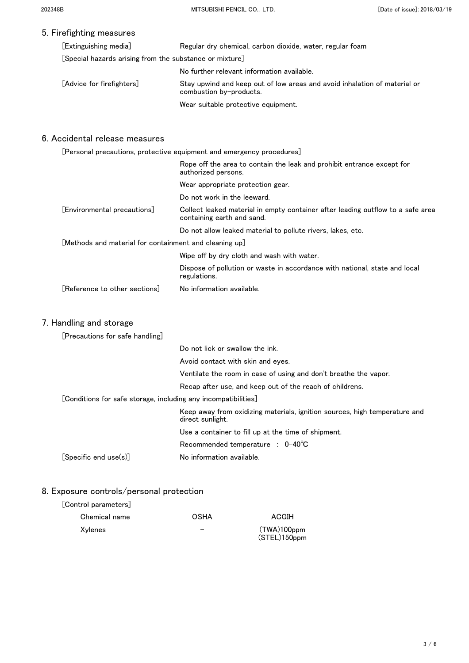## 5. Firefighting measures

| [Extinguishing media]                                   | Regular dry chemical, carbon dioxide, water, regular foam                                            |  |
|---------------------------------------------------------|------------------------------------------------------------------------------------------------------|--|
| [Special hazards arising from the substance or mixture] |                                                                                                      |  |
|                                                         | No further relevant information available.                                                           |  |
| [Advice for firefighters]                               | Stay upwind and keep out of low areas and avoid inhalation of material or<br>combustion by-products. |  |
|                                                         | Wear suitable protective equipment.                                                                  |  |

### 6. Accidental release measures

|                                                        | [Personal precautions, protective equipment and emergency procedures]                                         |
|--------------------------------------------------------|---------------------------------------------------------------------------------------------------------------|
|                                                        | Rope off the area to contain the leak and prohibit entrance except for<br>authorized persons.                 |
|                                                        | Wear appropriate protection gear.                                                                             |
|                                                        | Do not work in the leeward.                                                                                   |
| [Environmental precautions]                            | Collect leaked material in empty container after leading outflow to a safe area<br>containing earth and sand. |
|                                                        | Do not allow leaked material to pollute rivers, lakes, etc.                                                   |
| [Methods and material for containment and cleaning up] |                                                                                                               |
|                                                        | Wipe off by dry cloth and wash with water.                                                                    |
|                                                        | Dispose of pollution or waste in accordance with national, state and local<br>regulations.                    |
| [Reference to other sections]                          | No information available.                                                                                     |
|                                                        |                                                                                                               |

## 7. Handling and storage

| [Precautions for safe handling]                                |                                                                                                |  |
|----------------------------------------------------------------|------------------------------------------------------------------------------------------------|--|
|                                                                | Do not lick or swallow the ink.                                                                |  |
|                                                                | Avoid contact with skin and eyes.                                                              |  |
|                                                                | Ventilate the room in case of using and don't breathe the vapor.                               |  |
|                                                                | Recap after use, and keep out of the reach of childrens.                                       |  |
| [Conditions for safe storage, including any incompatibilities] |                                                                                                |  |
|                                                                | Keep away from oxidizing materials, ignition sources, high temperature and<br>direct sunlight. |  |
|                                                                | Use a container to fill up at the time of shipment.                                            |  |
|                                                                | Recommended temperature : $0-40^{\circ}$ C                                                     |  |
| [Specific end use(s)]                                          | No information available.                                                                      |  |

## 8. Exposure controls/personal protection

| Chemical name | OSHA | ACGIH                          |
|---------------|------|--------------------------------|
| Xylenes       | –    | $(TWA)100$ ppm<br>(STEL)150ppm |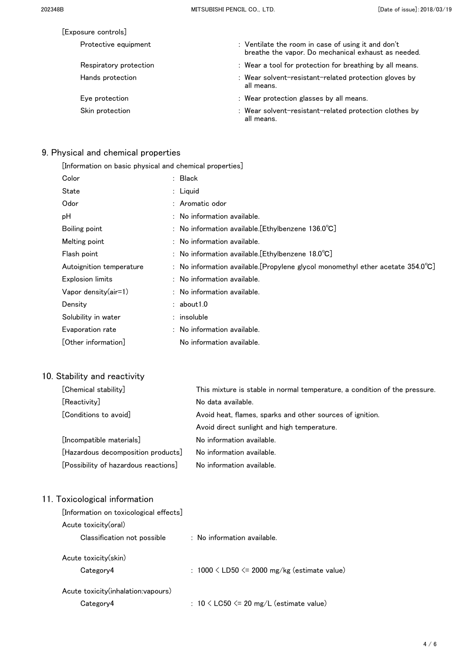| [Exposure controls]    |                                                                                                           |
|------------------------|-----------------------------------------------------------------------------------------------------------|
| Protective equipment   | : Ventilate the room in case of using it and don't<br>breathe the vapor. Do mechanical exhaust as needed. |
| Respiratory protection | : Wear a tool for protection for breathing by all means.                                                  |
| Hands protection       | : Wear solvent-resistant-related protection gloves by<br>all means.                                       |
| Eye protection         | : Wear protection glasses by all means.                                                                   |
| Skin protection        | : Wear solvent-resistant-related protection clothes by<br>all means.                                      |

# 9. Physical and chemical properties

| [Information on basic physical and chemical properties] |  |                                                                                           |  |  |
|---------------------------------------------------------|--|-------------------------------------------------------------------------------------------|--|--|
| Color                                                   |  | : Black                                                                                   |  |  |
| State                                                   |  | $:$ Liguid                                                                                |  |  |
| Odor                                                    |  | : Aromatic odor                                                                           |  |  |
| рH                                                      |  | $:$ No information available.                                                             |  |  |
| Boiling point                                           |  | : No information available. [Ethylbenzene $136.0^{\circ}$ C]                              |  |  |
| Melting point                                           |  | $:$ No information available.                                                             |  |  |
| Flash point                                             |  | : No information available. [Ethylbenzene $18.0^{\circ}$ C]                               |  |  |
| Autoignition temperature                                |  | : No information available. [Propylene glycol monomethyl ether acetate $354.0^{\circ}$ C] |  |  |
| <b>Explosion limits</b>                                 |  | $:$ No information available.                                                             |  |  |
| Vapor density $(air=1)$                                 |  | : No information available.                                                               |  |  |
| Density                                                 |  | : about 1.0                                                                               |  |  |
| Solubility in water                                     |  | : insoluble                                                                               |  |  |
| Evaporation rate                                        |  | : No information available.                                                               |  |  |
| [Other information]                                     |  | No information available.                                                                 |  |  |

# 10. Stability and reactivity

| [Chemical stability]                 | This mixture is stable in normal temperature, a condition of the pressure. |
|--------------------------------------|----------------------------------------------------------------------------|
| [Reactivity]                         | No data available.                                                         |
| [Conditions to avoid]                | Avoid heat, flames, sparks and other sources of ignition.                  |
|                                      | Avoid direct sunlight and high temperature.                                |
| [Incompatible materials]             | No information available.                                                  |
| [Hazardous decomposition products]   | No information available.                                                  |
| [Possibility of hazardous reactions] | No information available.                                                  |

# 11. Toxicological information

| [Information on toxicological effects]            |                                                     |
|---------------------------------------------------|-----------------------------------------------------|
| Acute toxicity (oral)                             |                                                     |
| Classification not possible                       | $:$ No information available.                       |
| Acute toxicity(skin)<br>Category4                 | : $1000 \leq LDS0 \leq 2000$ mg/kg (estimate value) |
| Acute toxicity (inhalation: vapours)<br>Category4 | : $10 \leq$ LC50 $\leq$ 20 mg/L (estimate value)    |
|                                                   |                                                     |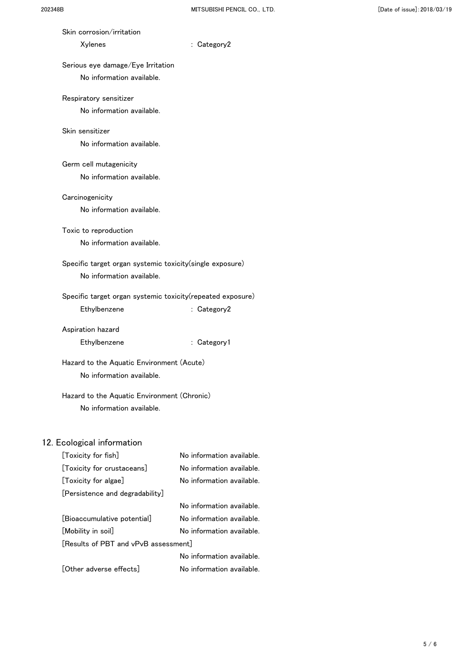| Skin corrosion/irritation                                              |                           |
|------------------------------------------------------------------------|---------------------------|
| Xylenes                                                                | : Category2               |
| Serious eye damage/Eye Irritation                                      |                           |
| No information available.                                              |                           |
| Respiratory sensitizer                                                 |                           |
| No information available.                                              |                           |
| Skin sensitizer                                                        |                           |
| No information available.                                              |                           |
| Germ cell mutagenicity                                                 |                           |
| No information available.                                              |                           |
| Carcinogenicity                                                        |                           |
| No information available.                                              |                           |
| Toxic to reproduction                                                  |                           |
| No information available.                                              |                           |
| Specific target organ systemic toxicity (single exposure)              |                           |
| No information available.                                              |                           |
| Specific target organ systemic toxicity (repeated exposure)            |                           |
| Ethylbenzene                                                           | : Category2               |
|                                                                        |                           |
| Aspiration hazard<br>Ethylbenzene                                      | : Category1               |
|                                                                        |                           |
| Hazard to the Aquatic Environment (Acute)<br>No information available. |                           |
|                                                                        |                           |
| Hazard to the Aquatic Environment (Chronic)                            |                           |
| No information available.                                              |                           |
|                                                                        |                           |
| 12. Ecological information<br>[Toxicity for fish]                      | No information available. |
| [Toxicity for crustaceans]                                             | No information available. |
| [Toxicity for algae]                                                   | No information available. |
| [Persistence and degradability]                                        |                           |
|                                                                        | No information available. |
| [Bioaccumulative potential]                                            | No information available. |

[Mobility in soil] No information available.

[Other adverse effects] No information available.

No information available.

[Results of PBT and vPvB assessment]

 $5/6$